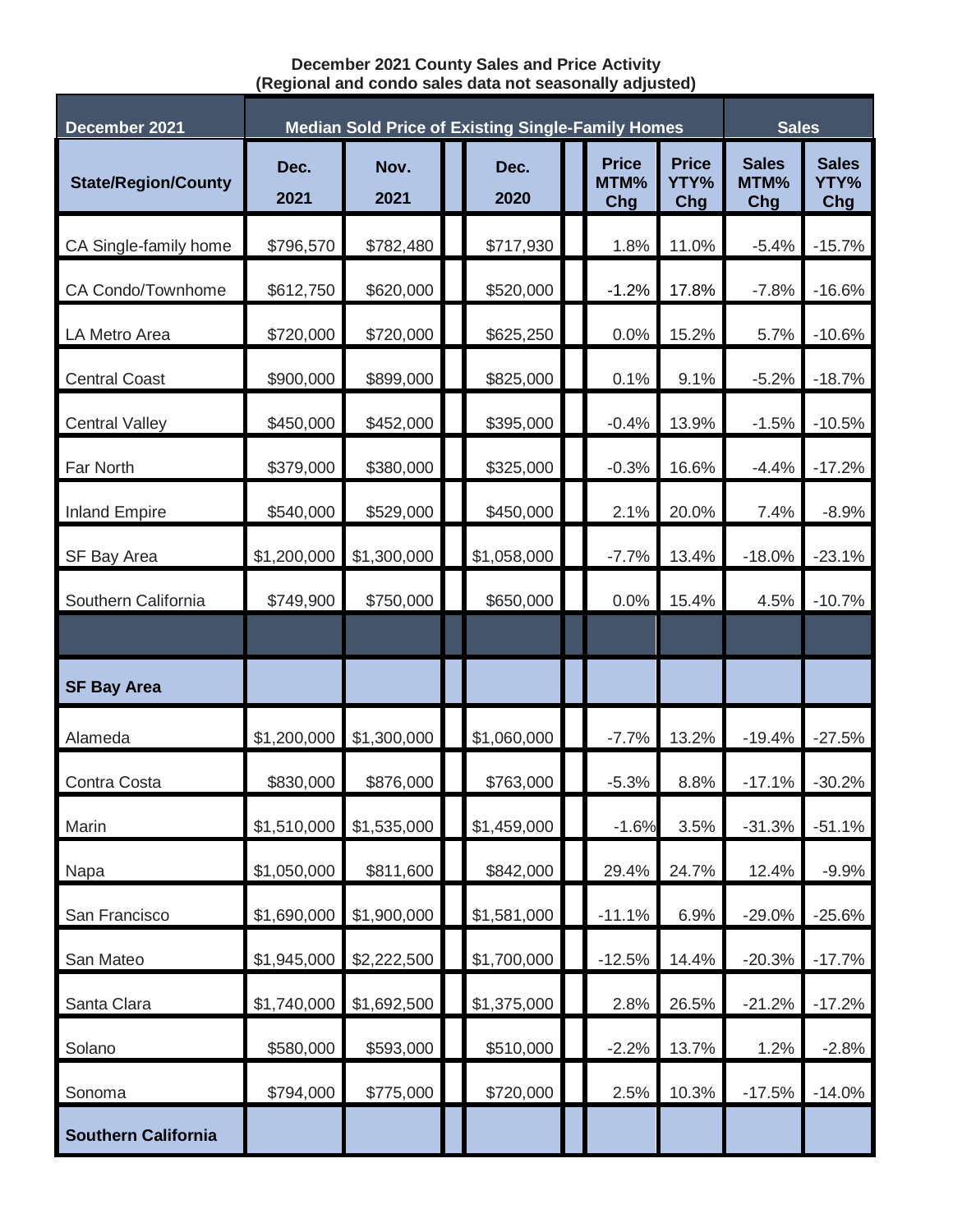## **December 2021 County Sales and Price Activity (Regional and condo sales data not seasonally adjusted)**

| December 2021              | <b>Median Sold Price of Existing Single-Family Homes</b> |              |  |              |  |                             |                             | <b>Sales</b>                |                             |
|----------------------------|----------------------------------------------------------|--------------|--|--------------|--|-----------------------------|-----------------------------|-----------------------------|-----------------------------|
| <b>State/Region/County</b> | Dec.<br>2021                                             | Nov.<br>2021 |  | Dec.<br>2020 |  | <b>Price</b><br>MTM%<br>Chg | <b>Price</b><br>YTY%<br>Chg | <b>Sales</b><br>MTM%<br>Chg | <b>Sales</b><br>YTY%<br>Chg |
| CA Single-family home      | \$796,570                                                | \$782,480    |  | \$717,930    |  | 1.8%                        | 11.0%                       | $-5.4%$                     | $-15.7%$                    |
| CA Condo/Townhome          | \$612,750                                                | \$620,000    |  | \$520,000    |  | $-1.2%$                     | 17.8%                       | $-7.8%$                     | $-16.6%$                    |
| LA Metro Area              | \$720,000                                                | \$720,000    |  | \$625,250    |  | 0.0%                        | 15.2%                       | 5.7%                        | $-10.6%$                    |
| <b>Central Coast</b>       | \$900,000                                                | \$899,000    |  | \$825,000    |  | 0.1%                        | 9.1%                        | $-5.2%$                     | $-18.7%$                    |
| <b>Central Valley</b>      | \$450,000                                                | \$452,000    |  | \$395,000    |  | $-0.4%$                     | 13.9%                       | $-1.5%$                     | $-10.5%$                    |
| Far North                  | \$379,000                                                | \$380,000    |  | \$325,000    |  | $-0.3%$                     | 16.6%                       | $-4.4%$                     | $-17.2%$                    |
| <b>Inland Empire</b>       | \$540,000                                                | \$529,000    |  | \$450,000    |  | 2.1%                        | 20.0%                       | 7.4%                        | $-8.9%$                     |
| SF Bay Area                | \$1,200,000                                              | \$1,300,000  |  | \$1,058,000  |  | $-7.7%$                     | 13.4%                       | $-18.0%$                    | $-23.1%$                    |
| Southern California        | \$749,900                                                | \$750,000    |  | \$650,000    |  | 0.0%                        | 15.4%                       | 4.5%                        | $-10.7%$                    |
|                            |                                                          |              |  |              |  |                             |                             |                             |                             |
| <b>SF Bay Area</b>         |                                                          |              |  |              |  |                             |                             |                             |                             |
| Alameda                    | \$1,200,000                                              | \$1,300,000  |  | \$1,060,000  |  | $-7.7%$                     | 13.2%                       | $-19.4%$                    | $-27.5%$                    |
| Contra Costa               | \$830,000                                                | \$876,000    |  | \$763,000    |  | $-5.3%$                     | 8.8%                        | $-17.1%$                    | $-30.2%$                    |
| Marin                      | \$1,510,000                                              | \$1,535,000  |  | \$1,459,000  |  | $-1.6%$                     | 3.5%                        | $-31.3%$                    | $-51.1%$                    |
| Napa                       | \$1,050,000                                              | \$811,600    |  | \$842,000    |  | 29.4%                       | 24.7%                       | 12.4%                       | $-9.9%$                     |
| San Francisco              | \$1,690,000                                              | \$1,900,000  |  | \$1,581,000  |  | $-11.1%$                    | 6.9%                        | $-29.0%$                    | $-25.6%$                    |
| San Mateo                  | \$1,945,000                                              | \$2,222,500  |  | \$1,700,000  |  | $-12.5%$                    | 14.4%                       | $-20.3%$                    | $-17.7%$                    |
| Santa Clara                | \$1,740,000                                              | \$1,692,500  |  | \$1,375,000  |  | 2.8%                        | 26.5%                       | $-21.2%$                    | $-17.2%$                    |
| Solano                     | \$580,000                                                | \$593,000    |  | \$510,000    |  | $-2.2%$                     | 13.7%                       | 1.2%                        | $-2.8%$                     |
| Sonoma                     | \$794,000                                                | \$775,000    |  | \$720,000    |  | 2.5%                        | 10.3%                       | $-17.5%$                    | $-14.0%$                    |
| <b>Southern California</b> |                                                          |              |  |              |  |                             |                             |                             |                             |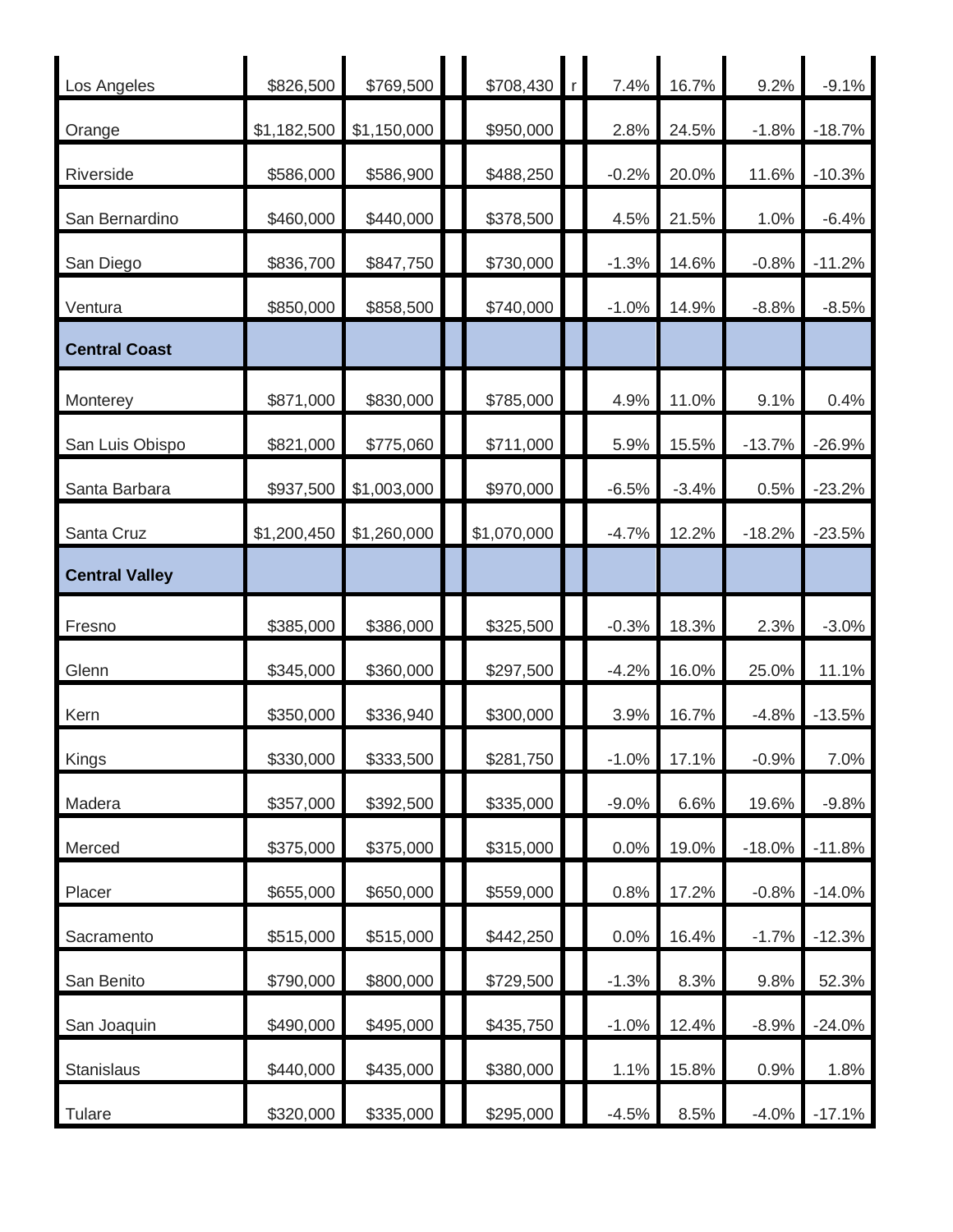| Los Angeles           | \$826,500   | \$769,500   | \$708,430   | r <sub>1</sub> | 7.4%    | 16.7%   | 9.2%     | $-9.1%$  |
|-----------------------|-------------|-------------|-------------|----------------|---------|---------|----------|----------|
| Orange                | \$1,182,500 | \$1,150,000 | \$950,000   |                | 2.8%    | 24.5%   | $-1.8%$  | $-18.7%$ |
| Riverside             | \$586,000   | \$586,900   | \$488,250   |                | $-0.2%$ | 20.0%   | 11.6%    | $-10.3%$ |
| San Bernardino        | \$460,000   | \$440,000   | \$378,500   |                | 4.5%    | 21.5%   | 1.0%     | $-6.4%$  |
| San Diego             | \$836,700   | \$847,750   | \$730,000   |                | $-1.3%$ | 14.6%   | $-0.8%$  | $-11.2%$ |
| Ventura               | \$850,000   | \$858,500   | \$740,000   |                | $-1.0%$ | 14.9%   | $-8.8%$  | $-8.5%$  |
| <b>Central Coast</b>  |             |             |             |                |         |         |          |          |
| Monterey              | \$871,000   | \$830,000   | \$785,000   |                | 4.9%    | 11.0%   | 9.1%     | 0.4%     |
| San Luis Obispo       | \$821,000   | \$775,060   | \$711,000   |                | 5.9%    | 15.5%   | $-13.7%$ | $-26.9%$ |
| Santa Barbara         | \$937,500   | \$1,003,000 | \$970,000   |                | $-6.5%$ | $-3.4%$ | 0.5%     | $-23.2%$ |
| Santa Cruz            | \$1,200,450 | \$1,260,000 | \$1,070,000 |                | $-4.7%$ | 12.2%   | $-18.2%$ | $-23.5%$ |
| <b>Central Valley</b> |             |             |             |                |         |         |          |          |
| Fresno                | \$385,000   | \$386,000   | \$325,500   |                | $-0.3%$ | 18.3%   | 2.3%     | $-3.0%$  |
| Glenn                 |             |             |             |                |         |         |          |          |
|                       | \$345,000   | \$360,000   | \$297,500   |                | $-4.2%$ | 16.0%   | 25.0%    | 11.1%    |
| Kern                  | \$350,000   | \$336,940   | \$300,000   |                | 3.9%    | 16.7%   | $-4.8%$  | $-13.5%$ |
| Kings                 | \$330,000   | \$333,500   | \$281,750   |                | $-1.0%$ | 17.1%   | $-0.9%$  | 7.0%     |
| Madera                | \$357,000   | \$392,500   | \$335,000   |                | $-9.0%$ | 6.6%    | 19.6%    | $-9.8%$  |
| Merced                | \$375,000   | \$375,000   | \$315,000   |                | 0.0%    | 19.0%   | $-18.0%$ | $-11.8%$ |
| Placer                | \$655,000   | \$650,000   | \$559,000   |                | 0.8%    | 17.2%   | $-0.8%$  | $-14.0%$ |
| Sacramento            | \$515,000   | \$515,000   | \$442,250   |                | 0.0%    | 16.4%   | $-1.7%$  | $-12.3%$ |
| San Benito            | \$790,000   | \$800,000   | \$729,500   |                | $-1.3%$ | 8.3%    | 9.8%     | 52.3%    |
| San Joaquin           | \$490,000   | \$495,000   | \$435,750   |                | $-1.0%$ | 12.4%   | $-8.9%$  | $-24.0%$ |
| Stanislaus            | \$440,000   | \$435,000   | \$380,000   |                | 1.1%    | 15.8%   | 0.9%     | 1.8%     |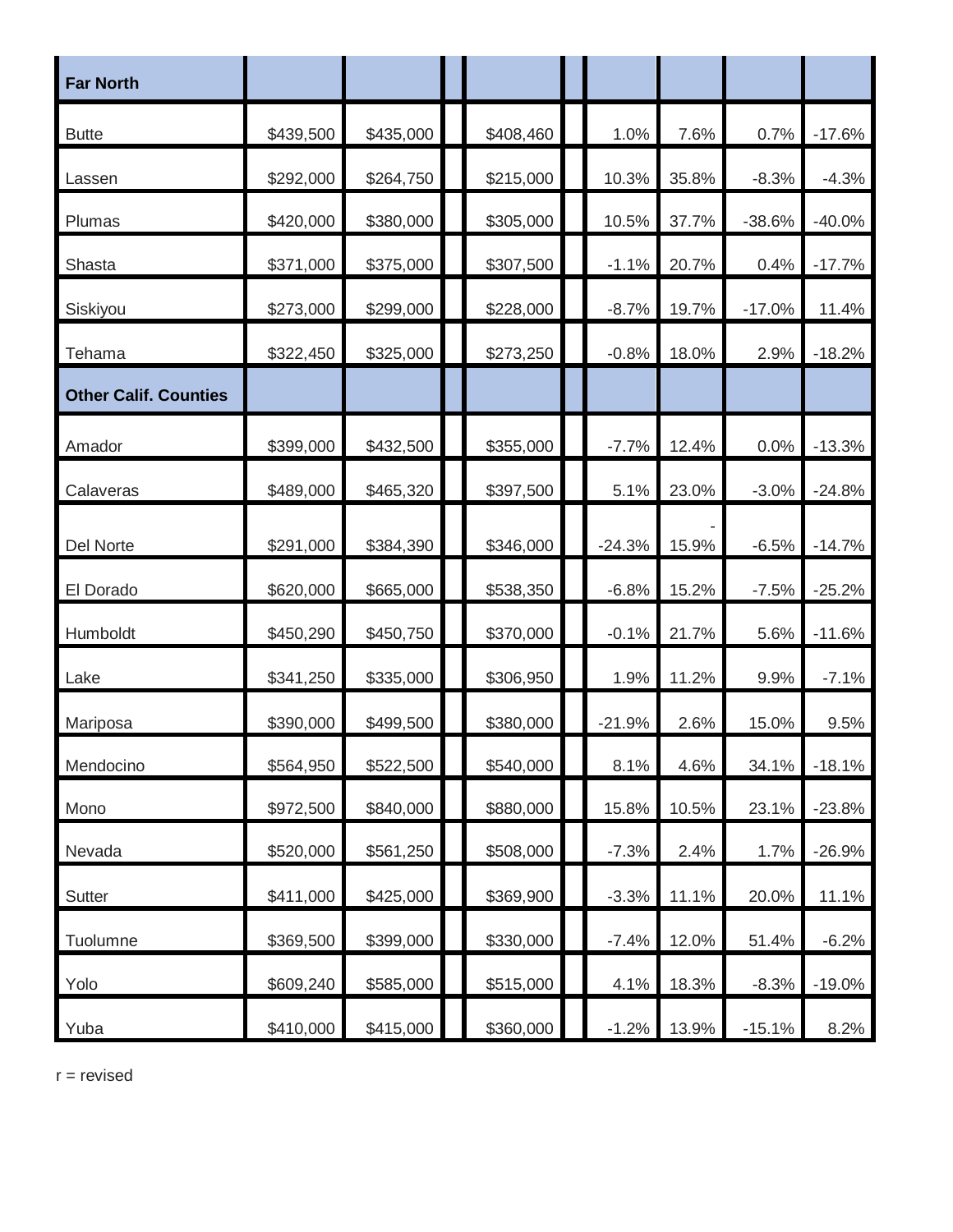| <b>Far North</b>             |           |           |           |          |       |          |          |
|------------------------------|-----------|-----------|-----------|----------|-------|----------|----------|
| <b>Butte</b>                 | \$439,500 | \$435,000 | \$408,460 | 1.0%     | 7.6%  | 0.7%     | $-17.6%$ |
| Lassen                       | \$292,000 | \$264,750 | \$215,000 | 10.3%    | 35.8% | $-8.3%$  | $-4.3%$  |
| Plumas                       | \$420,000 | \$380,000 | \$305,000 | 10.5%    | 37.7% | $-38.6%$ | $-40.0%$ |
| Shasta                       | \$371,000 | \$375,000 | \$307,500 | $-1.1%$  | 20.7% | 0.4%     | $-17.7%$ |
| Siskiyou                     | \$273,000 | \$299,000 | \$228,000 | $-8.7%$  | 19.7% | $-17.0%$ | 11.4%    |
| Tehama                       | \$322,450 | \$325,000 | \$273,250 | $-0.8%$  | 18.0% | 2.9%     | $-18.2%$ |
| <b>Other Calif. Counties</b> |           |           |           |          |       |          |          |
| Amador                       | \$399,000 | \$432,500 | \$355,000 | $-7.7%$  | 12.4% | 0.0%     | $-13.3%$ |
| Calaveras                    | \$489,000 | \$465,320 | \$397,500 | 5.1%     | 23.0% | $-3.0%$  | $-24.8%$ |
| Del Norte                    | \$291,000 | \$384,390 | \$346,000 | $-24.3%$ | 15.9% | $-6.5%$  | $-14.7%$ |
| El Dorado                    | \$620,000 | \$665,000 | \$538,350 | $-6.8%$  | 15.2% | $-7.5%$  | $-25.2%$ |
| Humboldt                     | \$450,290 | \$450,750 | \$370,000 | $-0.1%$  | 21.7% | 5.6%     | $-11.6%$ |
| Lake                         | \$341,250 | \$335,000 | \$306,950 | 1.9%     | 11.2% | 9.9%     | $-7.1%$  |
| Mariposa                     | \$390,000 | \$499,500 | \$380,000 | $-21.9%$ | 2.6%  | 15.0%    | 9.5%     |
| Mendocino                    | \$564,950 | \$522,500 | \$540,000 | 8.1%     | 4.6%  | 34.1%    | $-18.1%$ |
| Mono                         | \$972,500 | \$840,000 | \$880,000 | 15.8%    | 10.5% | 23.1%    | $-23.8%$ |
| Nevada                       | \$520,000 | \$561,250 | \$508,000 | $-7.3%$  | 2.4%  | 1.7%     | $-26.9%$ |
| Sutter                       | \$411,000 | \$425,000 | \$369,900 | $-3.3%$  | 11.1% | 20.0%    | 11.1%    |
| Tuolumne                     | \$369,500 | \$399,000 | \$330,000 | $-7.4%$  | 12.0% | 51.4%    | $-6.2%$  |
| Yolo                         | \$609,240 | \$585,000 | \$515,000 | 4.1%     | 18.3% | $-8.3%$  | $-19.0%$ |
| Yuba                         | \$410,000 | \$415,000 | \$360,000 | $-1.2%$  | 13.9% | $-15.1%$ | 8.2%     |

 $r =$  revised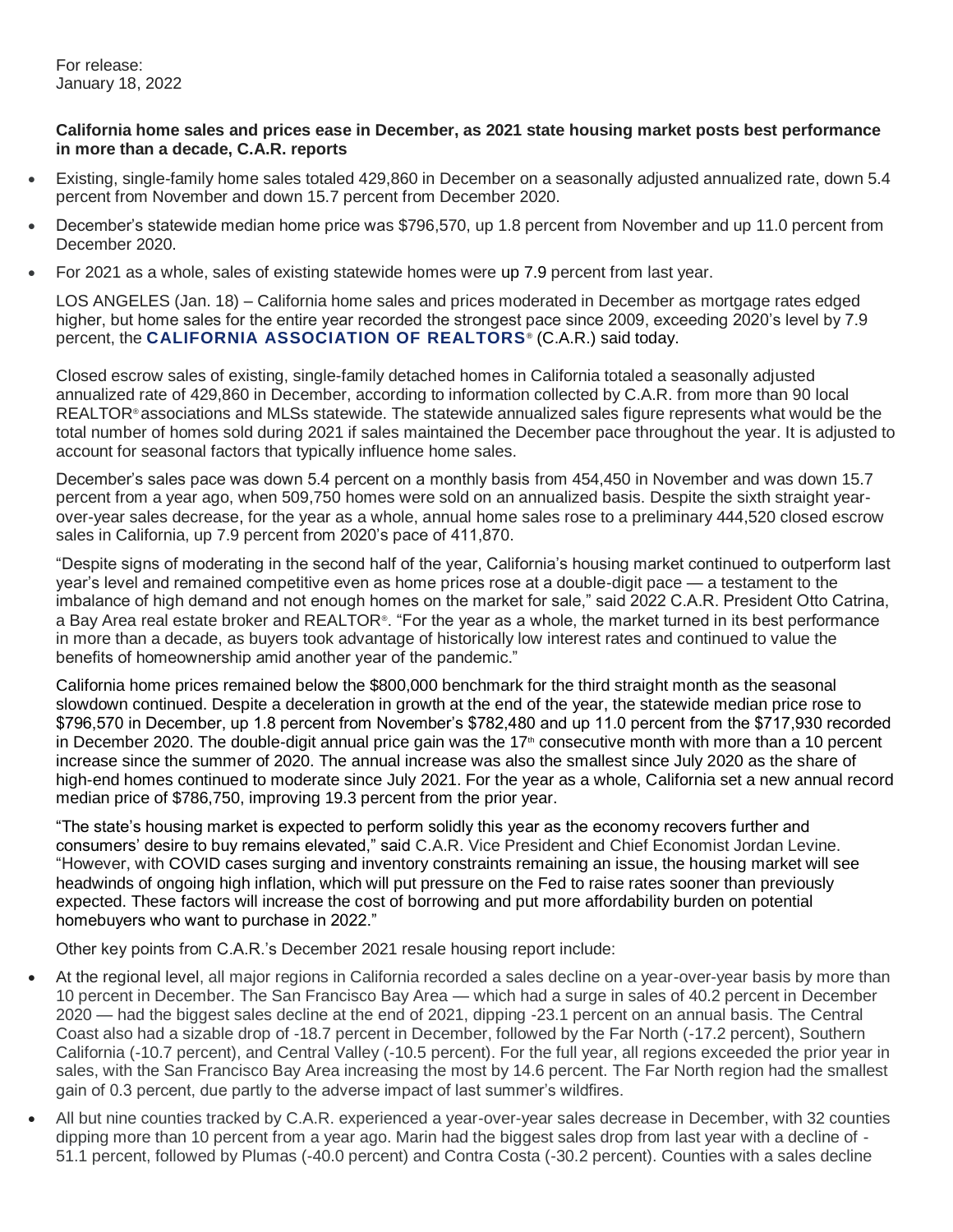For release: January 18, 2022

## **California home sales and prices ease in December, as 2021 state housing market posts best performance in more than a decade, C.A.R. reports**

- Existing, single-family home sales totaled 429,860 in December on a seasonally adjusted annualized rate, down 5.4 percent from November and down 15.7 percent from December 2020.
- December's statewide median home price was \$796,570, up 1.8 percent from November and up 11.0 percent from December 2020.
- For 2021 as a whole, sales of existing statewide homes were up 7.9 percent from last year.

LOS ANGELES (Jan. 18) – California home sales and prices moderated in December as mortgage rates edged higher, but home sales for the entire year recorded the strongest pace since 2009, exceeding 2020's level by 7.9 percent, the **[CALIFORNIA ASSOCIATION OF REALTORS](http://www.car.org/)** ® (C.A.R.) said today.

Closed escrow sales of existing, single-family detached homes in California totaled a seasonally adjusted annualized rate of 429,860 in December, according to information collected by C.A.R. from more than 90 local REALTOR® associations and MLSs statewide. The statewide annualized sales figure represents what would be the total number of homes sold during 2021 if sales maintained the December pace throughout the year. It is adjusted to account for seasonal factors that typically influence home sales.

December's sales pace was down 5.4 percent on a monthly basis from 454,450 in November and was down 15.7 percent from a year ago, when 509,750 homes were sold on an annualized basis. Despite the sixth straight yearover-year sales decrease, for the year as a whole, annual home sales rose to a preliminary 444,520 closed escrow sales in California, up 7.9 percent from 2020's pace of 411,870.

"Despite signs of moderating in the second half of the year, California's housing market continued to outperform last year's level and remained competitive even as home prices rose at a double-digit pace — a testament to the imbalance of high demand and not enough homes on the market for sale," said 2022 C.A.R. President Otto Catrina, a Bay Area real estate broker and REALTOR®. "For the year as a whole, the market turned in its best performance in more than a decade, as buyers took advantage of historically low interest rates and continued to value the benefits of homeownership amid another year of the pandemic."

California home prices remained below the \$800,000 benchmark for the third straight month as the seasonal slowdown continued. Despite a deceleration in growth at the end of the year, the statewide median price rose to \$796,570 in December, up 1.8 percent from November's \$782,480 and up 11.0 percent from the \$717,930 recorded in December 2020. The double-digit annual price gain was the  $17<sup>th</sup>$  consecutive month with more than a 10 percent increase since the summer of 2020. The annual increase was also the smallest since July 2020 as the share of high-end homes continued to moderate since July 2021. For the year as a whole, California set a new annual record median price of \$786,750, improving 19.3 percent from the prior year.

"The state's housing market is expected to perform solidly this year as the economy recovers further and consumers' desire to buy remains elevated," said C.A.R. Vice President and Chief Economist Jordan Levine. "However, with COVID cases surging and inventory constraints remaining an issue, the housing market will see headwinds of ongoing high inflation, which will put pressure on the Fed to raise rates sooner than previously expected. These factors will increase the cost of borrowing and put more affordability burden on potential homebuyers who want to purchase in 2022."

Other key points from C.A.R.'s December 2021 resale housing report include:

- At the regional level, all major regions in California recorded a sales decline on a year-over-year basis by more than 10 percent in December. The San Francisco Bay Area — which had a surge in sales of 40.2 percent in December 2020 — had the biggest sales decline at the end of 2021, dipping -23.1 percent on an annual basis. The Central Coast also had a sizable drop of -18.7 percent in December, followed by the Far North (-17.2 percent), Southern California (-10.7 percent), and Central Valley (-10.5 percent). For the full year, all regions exceeded the prior year in sales, with the San Francisco Bay Area increasing the most by 14.6 percent. The Far North region had the smallest gain of 0.3 percent, due partly to the adverse impact of last summer's wildfires.
- All but nine counties tracked by C.A.R. experienced a year-over-year sales decrease in December, with 32 counties dipping more than 10 percent from a year ago. Marin had the biggest sales drop from last year with a decline of - 51.1 percent, followed by Plumas (-40.0 percent) and Contra Costa (-30.2 percent). Counties with a sales decline